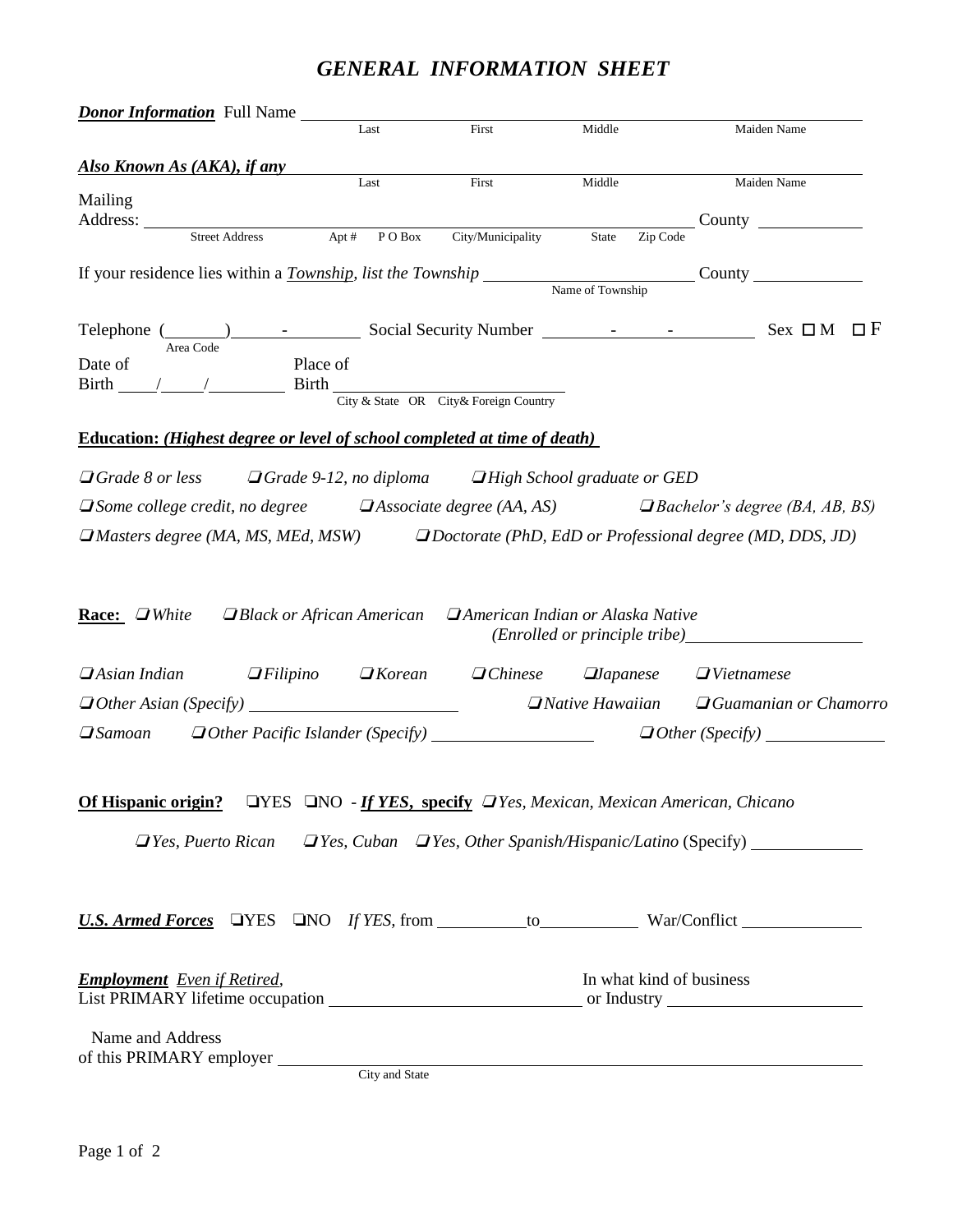# *GENERAL INFORMATION SHEET*

| <b>Donor Information</b> Full Name                                                                           | $\operatorname{Last}$   | First                                               | Middle                                                                                     | Maiden Name                                                                                    |
|--------------------------------------------------------------------------------------------------------------|-------------------------|-----------------------------------------------------|--------------------------------------------------------------------------------------------|------------------------------------------------------------------------------------------------|
|                                                                                                              |                         |                                                     |                                                                                            |                                                                                                |
| <b>Also Known As (AKA), if any</b>                                                                           |                         |                                                     |                                                                                            |                                                                                                |
| Mailing                                                                                                      | Last                    | First                                               | Middle                                                                                     | Maiden Name                                                                                    |
|                                                                                                              |                         |                                                     |                                                                                            | $\sim$ County $\sim$                                                                           |
| <b>Street Address</b>                                                                                        | Apt#<br>${\bf P}$ O Box | City/Municipality                                   | Zip Code<br>State                                                                          |                                                                                                |
| If your residence lies within a <i>Township</i> , list the Township Name of Township County Name of Township |                         |                                                     |                                                                                            |                                                                                                |
|                                                                                                              |                         |                                                     |                                                                                            |                                                                                                |
|                                                                                                              |                         |                                                     |                                                                                            |                                                                                                |
| Area Code                                                                                                    |                         |                                                     |                                                                                            |                                                                                                |
| Date of<br>Place of                                                                                          |                         |                                                     |                                                                                            |                                                                                                |
|                                                                                                              |                         |                                                     |                                                                                            |                                                                                                |
|                                                                                                              |                         |                                                     |                                                                                            |                                                                                                |
| <b>Education:</b> (Highest degree or level of school completed at time of death)                             |                         |                                                     |                                                                                            |                                                                                                |
| $\Box$ Grade 8 or less $\Box$ Grade 9-12, no diploma $\Box$ High School graduate or GED                      |                         |                                                     |                                                                                            |                                                                                                |
| $\Box$ Some college credit, no degree $\Box$ Associate degree (AA, AS) $\Box$ Bachelor's degree (BA, AB, BS) |                         |                                                     |                                                                                            |                                                                                                |
|                                                                                                              |                         |                                                     |                                                                                            |                                                                                                |
| $\Box$ Masters degree (MA, MS, MEd, MSW) $\Box$ Doctorate (PhD, EdD or Professional degree (MD, DDS, JD)     |                         |                                                     |                                                                                            |                                                                                                |
|                                                                                                              |                         |                                                     |                                                                                            |                                                                                                |
| $\Box$ Filipino<br>$\Box$ Asian Indian                                                                       |                         | $\Box$ Korean $\Box$ Chinese $\Box$ <i>Japanese</i> |                                                                                            | $\Box$ Vietnamese                                                                              |
|                                                                                                              |                         |                                                     | $\Box$ Native Hawaiian                                                                     | $\Box$ Guamanian or Chamorro                                                                   |
|                                                                                                              |                         |                                                     | $\Box$ Samoan $\Box$ Other Pacific Islander (Specify) $\Box$ $\Box$ Other (Specify) $\Box$ |                                                                                                |
|                                                                                                              |                         |                                                     |                                                                                            |                                                                                                |
|                                                                                                              |                         |                                                     |                                                                                            |                                                                                                |
| <b>Of Hispanic origin?</b> LYES LNO - If YES, specify LYes, Mexican, Mexican American, Chicano               |                         |                                                     |                                                                                            |                                                                                                |
|                                                                                                              |                         |                                                     |                                                                                            | $\Box$ Yes, Puerto Rican $\Box$ Yes, Cuban $\Box$ Yes, Other Spanish/Hispanic/Latino (Specify) |
|                                                                                                              |                         |                                                     |                                                                                            |                                                                                                |
|                                                                                                              |                         |                                                     |                                                                                            |                                                                                                |
| <b>U.S. Armed Forces QYES QNO</b> <i>If YES</i> , from to to War/Conflict <b>War/Conflict</b>                |                         |                                                     |                                                                                            |                                                                                                |
|                                                                                                              |                         |                                                     |                                                                                            |                                                                                                |
|                                                                                                              |                         |                                                     |                                                                                            |                                                                                                |
| <b>Employment</b> Even if Retired,                                                                           |                         |                                                     | In what kind of business                                                                   |                                                                                                |
|                                                                                                              |                         |                                                     |                                                                                            |                                                                                                |
| Name and Address                                                                                             |                         |                                                     |                                                                                            |                                                                                                |
| of this PRIMARY employer $\frac{C_{\text{itiv and State}}}{\text{city and State}}$                           |                         |                                                     |                                                                                            |                                                                                                |
|                                                                                                              |                         |                                                     |                                                                                            |                                                                                                |